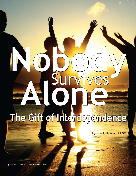# **Nobody** Survives **Alone The Gift of Interdependence**

By Lisa Lieberman, LCSW

**48** September - October 2008 **Autism** ■ **Asperger's Digest**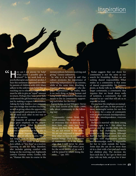# inspiration

**Jow can I ask anyone for help?** What could I possibly give in return?" In my work both as a psychotherapist and national speaker, I hear this sentiment expressed too often by parents of children with ASD. Many adhere to the unfortunate belief that in reaching out to others for support, one must be able to give an "equal" amount in return. Perhaps they have never fully understood the gift bestowed on others just by making a request for assistance. Asking for help builds a very personal, two-way bridge that involves receiving, as well as giving others the opportunity to meaningfully participate in your life. We all need each other in one way or another to survive.  $\mathcal{C}$ 

> The majority of spiritual traditions place great emphasis on the importance of giving. What is generally missing from this lesson in humanity is active recognition that being able to give to others requires that there be people who are able to receive. We are not taught how to receive gracefully and, in fact, are made to feel somehow selfish, or "less than" as a receiver. Learning to ask for help, therefore, also includes gaining comfort with being on the receiving end. Eighteenth century German writer, Goethe, tells us, "Human life runs its course in the

metamorphosis between receiving and giving." (source unknown)

So why is it so hard to ask? Our culture promotes the importance of achieving independence to an extreme, while at the same time, attaching a negative stigma to someone who displays "dependence." In reality, there is no such thing as being human and being totally independent. Humans are meant to live in community, supporting each other for survival.

Karyn Kedar, in *God Whispers: Stories of the Soul, Lessons of the Heart* (1999) talks about community in the following way:

"Community comes from the word *common*. The word assumes an awareness that we share in the most basic way: tears, loss, love, illness, joy, fear, birth, death, life. We are not meant to live alone. We are not supposed to ignore or deny what we have in common as human beings. That is the power of community…It is the knowledge that I will never be alone when I am sick…that when I pray for the secret desires of my soul, I will be joined by others doing the same…" (pp. 105)

Kedar suggests that our desire for community is not the same as our search for friendship. Rather, we are seeking shared responsibility. What makes us a community is that sense of shared responsibility. We humans desire, as Kedar tells us, to belong to a larger community, a community that requires that we break down walls of isolation, a community that will respond to us—and that will ask us to respond in kind.

Do you hear the emphasis on mutuality, of give and take, in that process? A more meaningful notion for our lives is to strive for a sense of community with an effort towards *interdependence.*  With true interdependence, everyone benefits!

Barbara is married with three young children, ages 4 to 7. Her oldest has autism and the middle child, who is adopted, has challenging behavior related to early deprivation. Although Barbara had a dream career, her own struggles with degenerative arthritis and fibromyalgia make it impossible for her to work outside the home. Some days she can do no more than sit in a chair with a hot pad and watch her children play. The decision she faces each day is "do I get in there and play with my kids, and pay for it later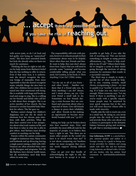# **... accept it is truly possible to get help, if you take the risk of reaching out.**

with severe pain, or do I sit back and feel guilty over being an "uninvolved" mom." She does have extended family but feels she already relies on them too much for assistance.

Thinking she has no right to ask others for help stems from Barbara's belief that she has nothing to offer in return. Even if that were true, it is unfortunate she doesn't recognize the twoway bridge of mutuality. Even more regrettable is that she doesn't recognize many valuable things she *does* have to offer. Her children have a mom who is tuned into their emotional well-being. She is available with hugs and books to read and songs to sing. She is a willing ear for friends and family who call her to talk about their struggles. She is an active member of her church. She has learned to crochet beautiful baby blankets for others. The list goes on.

Barbara cannot change her children's diagnoses, nor can she do much to eliminate how her chronic pain interferes with daily activities. What she does have control over is her perspective about what truly matters in life, and that there is value in what she is able to give others. And Barbara must develop comfort in reaching out for help.

Parents within the autism community struggle in numerous ways. Many wives and husbands end up divorcing, leaving a single parent raising a child with ASD. Finances are often stretched thin, eaten up by therapies and programs. Not all, like Barbara, have chronic health issues, but all, nonetheless, need help from others in some way.

The responsibility still rests with parents, however, to educate people in their community about ways to be helpful. More often than not, friends and family want to help; they just don't always know how. Expect that you will need to provide some "training" and become comfortable telling people what you need. Sol Gordon, in his book, *Is There Anything I Can Do?* (1994) writes,

"Let me say to all of you brave and often lonely - families out there that if a friend asks you, 'Is there anything I can do?' always, and I mean *always*, say yes. Give your friend a small task to do. Sometimes we lose friends during a crisis because they are confused and uncertain about what is expected of them. Give old friends a chance to prove their reliability, and allow friends-in-the-making an opportunity to become more firmly bonded with you." (p.107)

Asking for help can be broken down into four essential steps. First, and probably the most difficult task for the majority of people, is to believe they have a right to ask. "But there are so many other people in the world who have it so much worse than me!" It is not about comparing our burdens; rather we must recognize that everyone needs support during difficult times.

Once we get over that hurdle of acknowledging the right to ask, the next barrier is to accept it is truly possible to get help, if you take the risk of reaching out. This can include something as simple as using positive affirmations, e.g., "there is help available to me if I ask!" Others find it helpful to imagine a scene in their mind: going through the motions of asking someone for assistance that results in a successful outcome.

The third step is simply to make a specific list of what would be helpful to you: running errands, small chores, reorganizing a closet – try not to qualify it as "worthy" or not of asking. If it helps you out, that's reason enough. When someone says, "Let me know if there is anything I can do," you're ready with a specific request. Some people may be surprised by your quick response but in the end, you will soon discover whose offer is made with sincerity.

Finally, take the risk to reach out, even in a small way. By doing so, you invite people into the circle of your family and provide those who care about you a chance to participate in the dynamic balance between giving and receiving, the gift that is interdependence.  $\blacksquare$ 

**Lisa Lieberman, LCSW** is a psychotherapist, national speaker and author of *A Stranger Among Us,* a guide to hiring oneto-one providers for children and young adults with ASD. She and her husband, Craig Ackerson, are blessed with a 20 yearold son, Jordan, who has autism. Send comments to lisa@disabilityinthefamily. com.